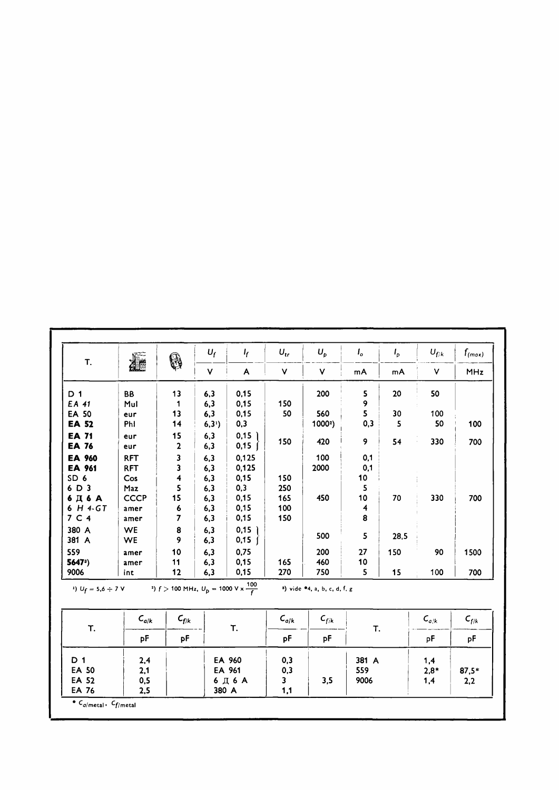| T.                           | 廬                                                                                                                                        | \$                 | $U_f$                | $\frac{1}{2}$             | $U_{tr}$  | $U_p$                                          | $I_{o}$ | $I_p$  | $U_{f/k}$ | $f_{(max)}$ |
|------------------------------|------------------------------------------------------------------------------------------------------------------------------------------|--------------------|----------------------|---------------------------|-----------|------------------------------------------------|---------|--------|-----------|-------------|
|                              |                                                                                                                                          |                    | ۷                    | A                         | $\vee$    | V                                              | mA      | mA     | V         | <b>MHz</b>  |
| D <sub>1</sub>               | BB                                                                                                                                       | 13                 | 6,3                  | 0,15                      |           | 200                                            | 5       | 20     | 50        |             |
| EA 41                        | Mul                                                                                                                                      | 1                  | 6,3                  | 0,15                      | 150       |                                                | 9       |        |           |             |
| <b>EA 50</b>                 | eur                                                                                                                                      | 13                 | 6,3                  | 0,15                      | 50        | 560                                            | 5       | 30     | 100       |             |
| <b>EA 52</b>                 | Phi                                                                                                                                      | 14                 | $6,3$ <sup>1</sup> ) | 0,3                       |           | 1000 <sup>2</sup> )                            | 0,3     | 5      | 50        | 100         |
| <b>EA 71</b><br><b>EA 76</b> | eur<br>eur                                                                                                                               | 15<br>$\mathbf{2}$ | 6,3<br>6,3           | $0,15$ ]<br>$0,15$ $\int$ | 150       | 420                                            | 9       | 54     | 330       | 700         |
| EA 960                       | <b>RFT</b>                                                                                                                               | 3                  | 6,3                  | 0,125                     |           | 100                                            | 0,1     |        |           |             |
| EA 961                       | <b>RFT</b>                                                                                                                               | 3                  | 6,3                  | 0,125                     |           | 2000                                           | 0,1     |        |           |             |
| SD <sub>6</sub>              | Cos                                                                                                                                      | 4                  | 6,3                  | 0,15                      | 150       |                                                | 10      |        |           |             |
| 6 D 3                        | Maz                                                                                                                                      | 5                  | 6,3                  | 0,3                       | 250       |                                                | 5       |        |           |             |
| 6Д6А                         | <b>CCCP</b>                                                                                                                              | 15                 | 6,3                  | 0,15                      | 165       | 450                                            | 10      | 70     | 330       | 700         |
| 6 H 4-GT                     | amer                                                                                                                                     | 6                  | 6,3                  | 0,15                      | 100       |                                                | 4       |        |           |             |
| 7 C 4                        | amer                                                                                                                                     | $\overline{7}$     | 6,3                  | 0,15                      | 150       |                                                | 8       |        |           |             |
| 380 A                        | <b>WE</b>                                                                                                                                | 8                  | 6,3                  | $0,15$ )                  |           |                                                |         |        |           |             |
| 381 A                        | <b>WE</b>                                                                                                                                | 9                  | 6,3                  | $0,15$ $\int$             |           | 500                                            | 5       | 28,5   |           |             |
| 559                          | amer                                                                                                                                     | 10                 | 6,3                  | 0,75                      |           | 200                                            | 27      | 150    | 90        | 1500        |
| 5647 <sup>3</sup> )          | amer                                                                                                                                     | 11                 | 6,3                  | 0,15                      | 165       | 460                                            | 10      |        |           |             |
| 9006                         | int                                                                                                                                      | 12                 | 6,3                  | 0,15                      | 270       | 750                                            | 5       | 15     | 100       | 700         |
|                              | <sup>2</sup> ) $U_f = 5,6 \div 7 \text{ V}$ <sup>2</sup> ) $f > 100 \text{ MHz}, U_p = 1000 \text{ V} \times \frac{100}{f}$<br>$C_{a/k}$ | $\epsilon_{f/k}$   |                      |                           | $C_{a/k}$ | $a)$ vide $*4$ , a, b, c, d, f, g<br>$c_{f/k}$ |         |        | $C_{a/k}$ | $C_{f/k}$   |
| Т.                           | pF                                                                                                                                       | pF                 |                      | Т.                        |           | рF                                             | Т.      |        | pF        | рF          |
| D 1                          | 2,4                                                                                                                                      |                    |                      | EA 960<br>EA 961<br>6Д6А  |           |                                                | 381 A   |        | 1,4       |             |
| <b>EA 50</b>                 | 2,1                                                                                                                                      |                    |                      |                           |           | 559<br>3,5<br>9006                             |         | $2,8*$ | $87,5*$   |             |
| <b>EA 52</b>                 | 0,5                                                                                                                                      |                    |                      |                           |           |                                                |         |        |           | 2,2         |
| EA 76                        | 2.5                                                                                                                                      |                    | 380 A                |                           | 1,1       |                                                |         |        | 1,4       |             |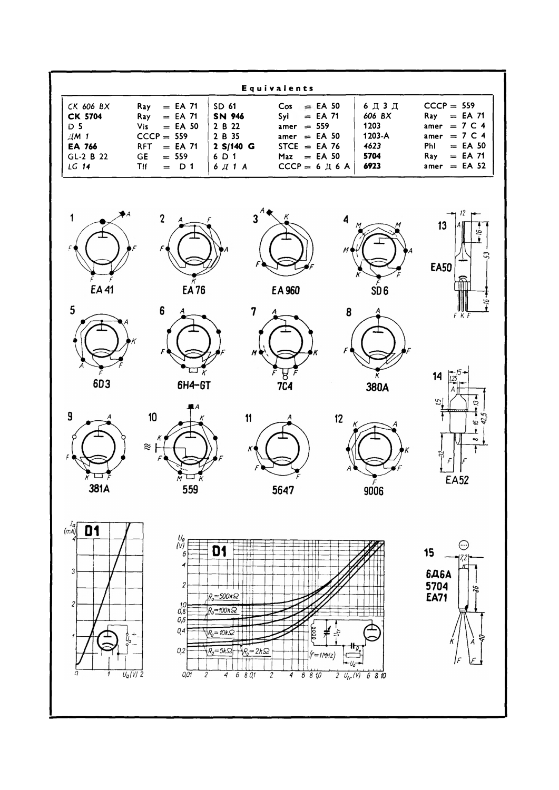| Equivalents                                                                                                                                                    |                                                                                                                                                                                                                                            |                                                                                                                                                                                                                                                                                                                                                                                                                                                                                                                                                                                                                                                   |                                                          |                                                                                                                                         |  |  |  |  |  |
|----------------------------------------------------------------------------------------------------------------------------------------------------------------|--------------------------------------------------------------------------------------------------------------------------------------------------------------------------------------------------------------------------------------------|---------------------------------------------------------------------------------------------------------------------------------------------------------------------------------------------------------------------------------------------------------------------------------------------------------------------------------------------------------------------------------------------------------------------------------------------------------------------------------------------------------------------------------------------------------------------------------------------------------------------------------------------------|----------------------------------------------------------|-----------------------------------------------------------------------------------------------------------------------------------------|--|--|--|--|--|
| CK 606 BX<br>Ray<br>CK 5704<br>Ray<br>D <sub>5</sub><br>Vis<br>AM <sub>1</sub><br>EA 766<br><b>RFT</b><br>GL-2 B 22<br>GE<br>LG 14<br><b>TIf</b>               | $=$ EA 71<br>SD 61<br>$=$ EA 71<br>SN 946<br>2 B 22<br>$=$ EA 50<br>2 B 35<br>$CCCP = 559$<br>2 S/140 G<br>$=$ EA 71<br>$= 559$<br>6 D 1<br>$6 \times 11$ $A$<br>$=$ D 1                                                                   | Cos<br>$=$ EA 50<br>Syl<br>$=$ EA 71<br>amer $= 559$<br>amer $=$ EA 50<br>STCE $=$ EA 76<br>$=$ EA 50<br>Max<br>$CCCP = 6 \text{ }\nexists \text{ } 6 \text{ }\nexists \text{ } 6 \text{ }\nexists \text{ } 6 \text{ }\nexists \text{ } 6 \text{ }\nexists \text{ } 6 \text{ }\nexists \text{ } 6 \text{ }\nexists \text{ } 6 \text{ }\nexists \text{ } 6 \text{ }\nexists \text{ } 6 \text{ }\nexists \text{ } 6 \text{ }\nexists \text{ } 6 \text{ }\nexists \text{ } 6 \text{ }\nexists \text{ } 6 \text{ }\nexists \text{ } 6 \text{ }\nexists \text{ } 6 \text{ }\nexists \text{ } 6 \text{ }\nexists \text{ } 6 \text{ }\nexists \text{ } $ | 6Д3Д<br>606 BX<br>1203<br>1203-A<br>4623<br>5704<br>6923 | $CCCP = 559$<br>$=$ EA 71<br>Ray<br>amer = $7 C 4$<br>amer = $7 \text{ C } 4$<br>Phl<br>$=$ EA 50<br>$=$ EA 71<br>Ray<br>$amer = EA 52$ |  |  |  |  |  |
| 1<br>EA41<br>5<br>6D3                                                                                                                                          | $\mathbf 2$<br>EA 76<br>6<br>6H4-GT                                                                                                                                                                                                        | $\overline{\mathbf{3}}$<br>4<br>M<br>EA 960<br>7<br>8<br>M<br>$\frac{8}{7}$                                                                                                                                                                                                                                                                                                                                                                                                                                                                                                                                                                       | $\overline{\text{SD}}$ 6<br>380A                         | 13<br>5í<br><b>EA50</b><br>FKF<br>14                                                                                                    |  |  |  |  |  |
| 9<br>381A                                                                                                                                                      | 10<br>$\approx$<br>M<br>ĸ<br>559                                                                                                                                                                                                           | 11<br>12<br>κ<br>cc<br>5647                                                                                                                                                                                                                                                                                                                                                                                                                                                                                                                                                                                                                       | Κ<br>9006                                                | 5<br>ఐ<br>ø<br>∞<br><b>EA52</b>                                                                                                         |  |  |  |  |  |
| $\begin{bmatrix}I_a\\(mA)\end{bmatrix}$<br>D1<br>3<br>$\mathcal{Z}_{\mathcal{C}}$<br>$\stackrel{\mathtt{o}}{\mathcal{U}_{\mathtt{a}}}$<br>ŋ<br>$U_q(V)$ 2<br>Ť | $\begin{bmatrix} U_\theta \\ V \end{bmatrix}$<br>D1<br>δ<br>4<br>2<br>$R_0 = 500k\Omega$<br>$\frac{10}{0,8}$<br>$R_0 = 100k\Omega$<br>0,6<br>0,4<br>$R_0 = 10kS^2$<br>O, 2<br>$R_0 = 5k\Omega$<br>0,01<br>$\overline{2}$<br>$\overline{4}$ | Ħ<br>臣<br>iii<br>0000<br>¥<br>ž<br>$\frac{1}{2}R_0 = 2k\Omega$<br>$f = 1$ MHz<br>Uó<br>6801<br>$\overline{c}$<br>6810<br>4<br>$2 \frac{U_{tr}(V)}{V}$                                                                                                                                                                                                                                                                                                                                                                                                                                                                                             | 6810                                                     | ⊕<br>15<br><b>6Д6А</b><br>5704<br>æ<br><b>EA71</b><br>ð<br>κ<br>A<br> F<br>Ŀ                                                            |  |  |  |  |  |